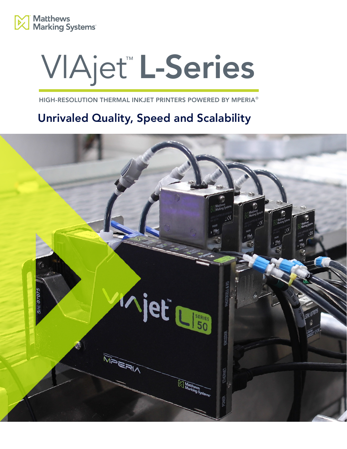

# VIAjet™ L-Series

HIGH-RESOLUTION THERMAL INKJET PRINTERS POWERED BY MPERIA®

# Unrivaled Quality, Speed and Scalability

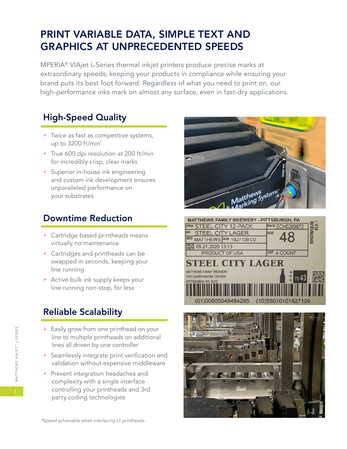## PRINT VARIABLE DATA, SIMPLE TEXT AND GRAPHICS AT UNPRECEDENTED SPEEDS

MPERIA® VIAjet L-Series thermal inkjet printers produce precise marks at extraordinary speeds; keeping your products in compliance while ensuring your brand puts its best foot forward. Regardless of what you need to print on, our high-performance inks mark on almost any surface, even in fast-dry applications.

#### High-Speed Quality

- + Twice as fast as competitive systems, up to 3200 ft/min\*
- + True 600 dpi resolution at 200 ft/min for incredibly crisp, clear marks
- + Superior in-house ink engineering and custom ink development ensures unparalleled performance on your substrates

#### Downtime Reduction

- + Cartridge based printheads means virtually no maintenance
- + Cartridges and printheads can be swapped in seconds, keeping your line running
- + Active bulk ink supply keeps your line running non-stop, for less

### Reliable Scalability

- + Easily grow from one printhead on your line to multiple printheads on additional lines all driven by one controller
- + Seamlessly integrate print verification and validation without expensive middleware
- + Prevent integration headaches and complexity with a single interface controlling your printheads and 3rd party coding technologies





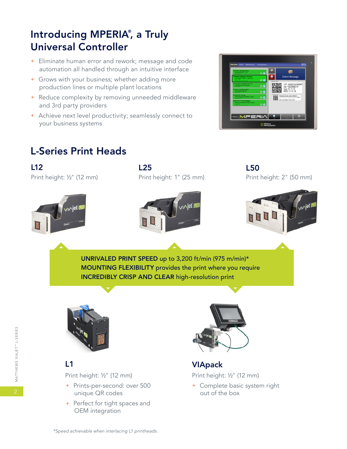# Introducing MPERIA® , a Truly Universal Controller

- + Eliminate human error and rework; message and code automation all handled through an intuitive interface
- + Grows with your business; whether adding more production lines or multiple plant locations
- + Reduce complexity by removing unneeded middleware and 3rd party providers
- + Achieve next level productivity; seamlessly connect to your business systems



# L-Series Print Heads

Print height: ½" (12 mm) L12

Print height: 1" (25 mm) L25

Print height: 2" (50 mm) L50







UNRIVALED PRINT SPEED up to 3,200 ft/min (975 m/min)\* MOUNTING FLEXIBILITY provides the print where you require INCREDIBLY CRISP AND CLEAR high-resolution print



#### $L<sub>1</sub>$

Print height: ½" (12 mm)

- + Prints-per-second: over 500 unique QR codes
- + Perfect for tight spaces and OEM integration



VIApack

Print height: ½" (12 mm)

+ Complete basic system right out of the box